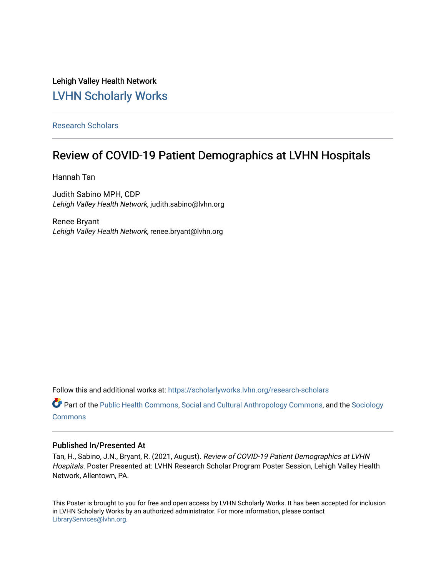#### Lehigh Valley Health Network [LVHN Scholarly Works](https://scholarlyworks.lvhn.org/)

[Research Scholars](https://scholarlyworks.lvhn.org/research-scholars) 

#### Review of COVID-19 Patient Demographics at LVHN Hospitals

Hannah Tan

Judith Sabino MPH, CDP Lehigh Valley Health Network, judith.sabino@lvhn.org

Renee Bryant Lehigh Valley Health Network, renee.bryant@lvhn.org

Follow this and additional works at: [https://scholarlyworks.lvhn.org/research-scholars](https://scholarlyworks.lvhn.org/research-scholars?utm_source=scholarlyworks.lvhn.org%2Fresearch-scholars%2F23&utm_medium=PDF&utm_campaign=PDFCoverPages) 

Part of the [Public Health Commons,](http://network.bepress.com/hgg/discipline/738?utm_source=scholarlyworks.lvhn.org%2Fresearch-scholars%2F23&utm_medium=PDF&utm_campaign=PDFCoverPages) [Social and Cultural Anthropology Commons,](http://network.bepress.com/hgg/discipline/323?utm_source=scholarlyworks.lvhn.org%2Fresearch-scholars%2F23&utm_medium=PDF&utm_campaign=PDFCoverPages) and the [Sociology](http://network.bepress.com/hgg/discipline/416?utm_source=scholarlyworks.lvhn.org%2Fresearch-scholars%2F23&utm_medium=PDF&utm_campaign=PDFCoverPages)  [Commons](http://network.bepress.com/hgg/discipline/416?utm_source=scholarlyworks.lvhn.org%2Fresearch-scholars%2F23&utm_medium=PDF&utm_campaign=PDFCoverPages)

#### Published In/Presented At

Tan, H., Sabino, J.N., Bryant, R. (2021, August). Review of COVID-19 Patient Demographics at LVHN Hospitals. Poster Presented at: LVHN Research Scholar Program Poster Session, Lehigh Valley Health Network, Allentown, PA.

This Poster is brought to you for free and open access by LVHN Scholarly Works. It has been accepted for inclusion in LVHN Scholarly Works by an authorized administrator. For more information, please contact [LibraryServices@lvhn.org](mailto:LibraryServices@lvhn.org).